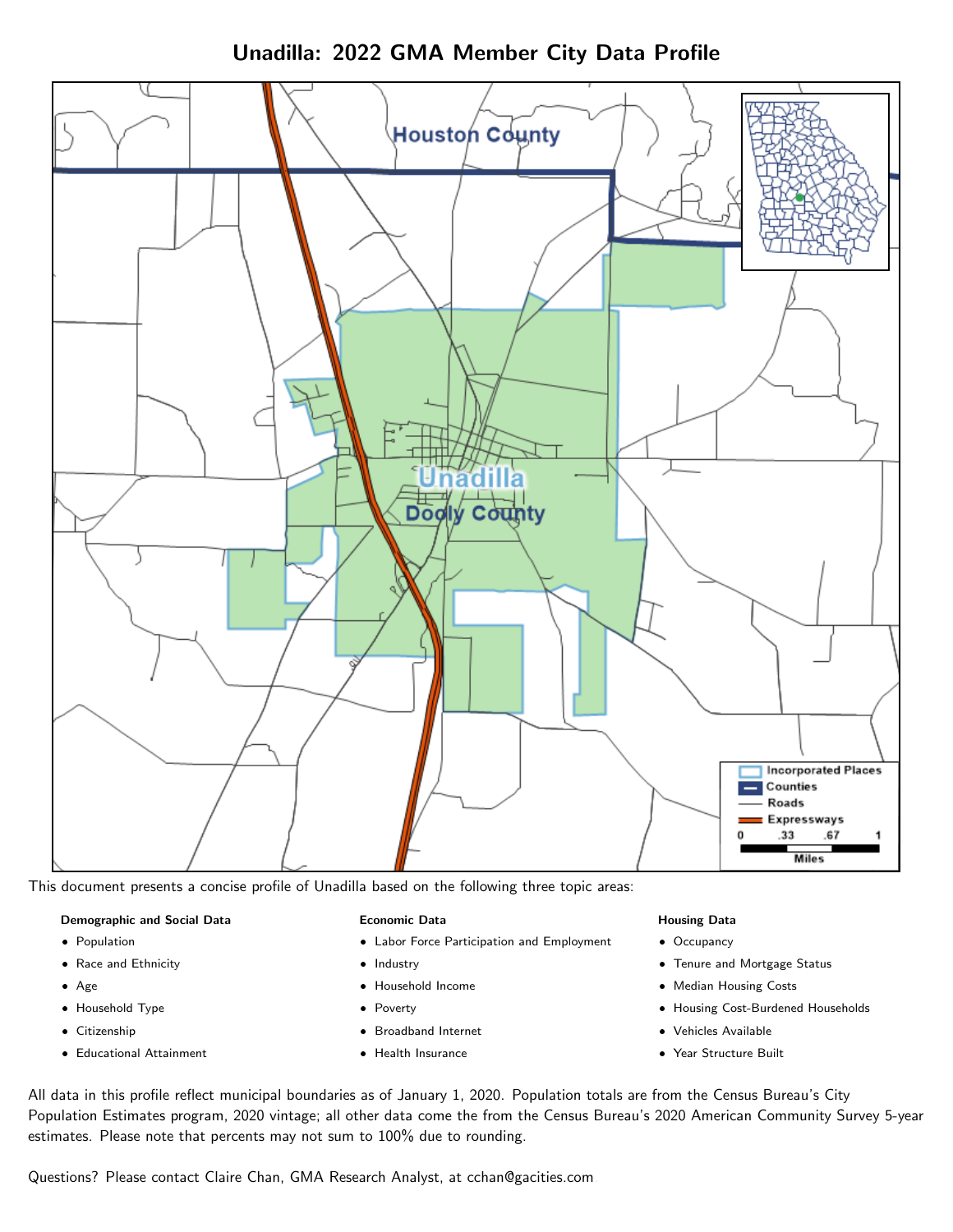Unadilla: 2022 GMA Member City Data Profile



This document presents a concise profile of Unadilla based on the following three topic areas:

#### Demographic and Social Data

- **•** Population
- Race and Ethnicity
- Age
- Household Type
- **Citizenship**
- Educational Attainment

### Economic Data

- Labor Force Participation and Employment
- Industry
- Household Income
- Poverty
- Broadband Internet
- Health Insurance

### Housing Data

- Occupancy
- Tenure and Mortgage Status
- Median Housing Costs
- Housing Cost-Burdened Households
- Vehicles Available
- Year Structure Built

All data in this profile reflect municipal boundaries as of January 1, 2020. Population totals are from the Census Bureau's City Population Estimates program, 2020 vintage; all other data come the from the Census Bureau's 2020 American Community Survey 5-year estimates. Please note that percents may not sum to 100% due to rounding.

Questions? Please contact Claire Chan, GMA Research Analyst, at [cchan@gacities.com.](mailto:cchan@gacities.com)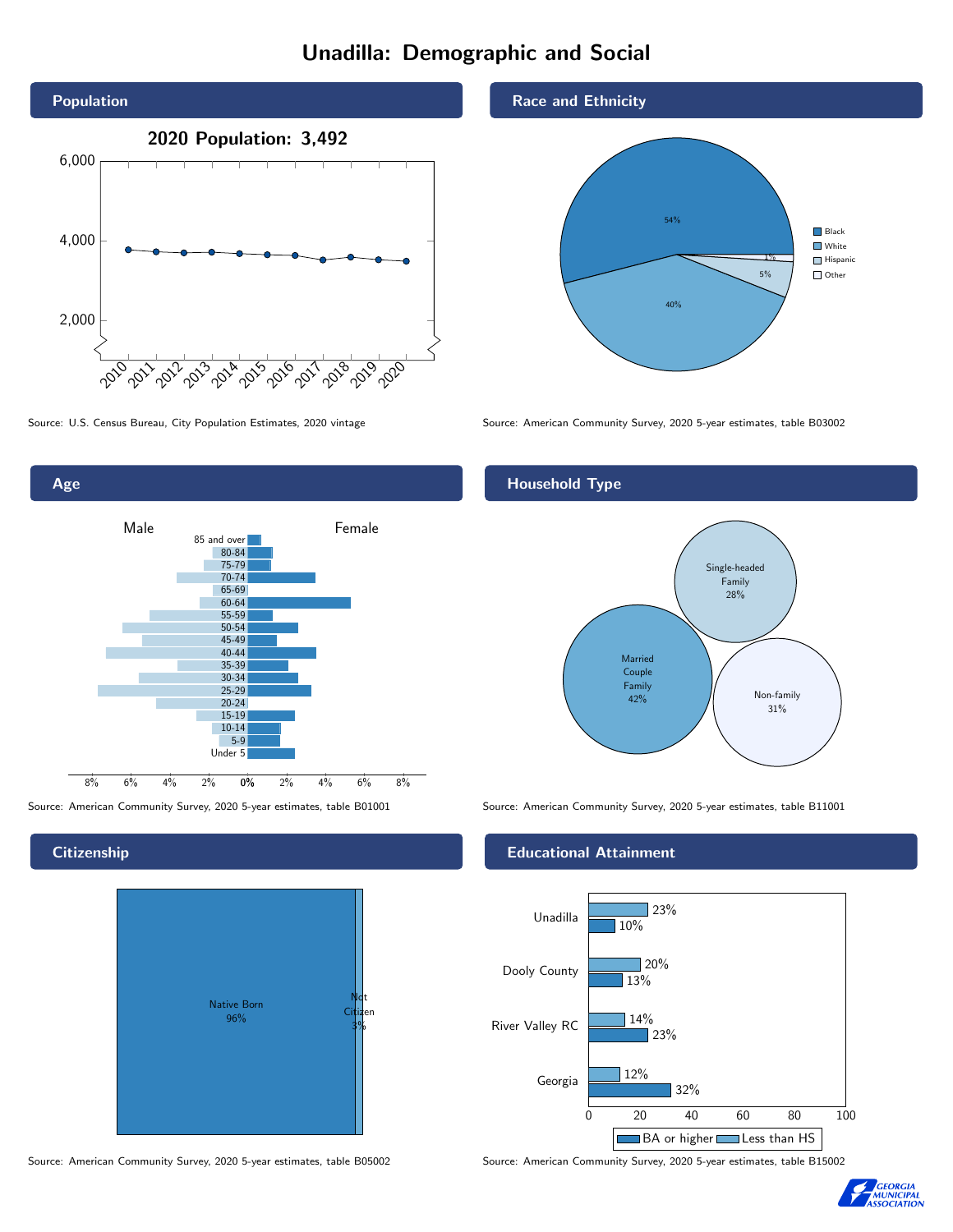# Unadilla: Demographic and Social



0% 2% 4% 6% 8% Male **Female** 8% 6% 4% 2% 85 and over 80-84 75-79 70-74 65-69 60-64 55-59 50-54 45-49 40-44 35-39 30-34 25-29 20-24 15-19 10-14 5-9 Under 5

### **Citizenship**

Age



Source: American Community Survey, 2020 5-year estimates, table B05002 Source: American Community Survey, 2020 5-year estimates, table B15002





Source: U.S. Census Bureau, City Population Estimates, 2020 vintage Source: American Community Survey, 2020 5-year estimates, table B03002

## Household Type



Source: American Community Survey, 2020 5-year estimates, table B01001 Source: American Community Survey, 2020 5-year estimates, table B11001

### Educational Attainment



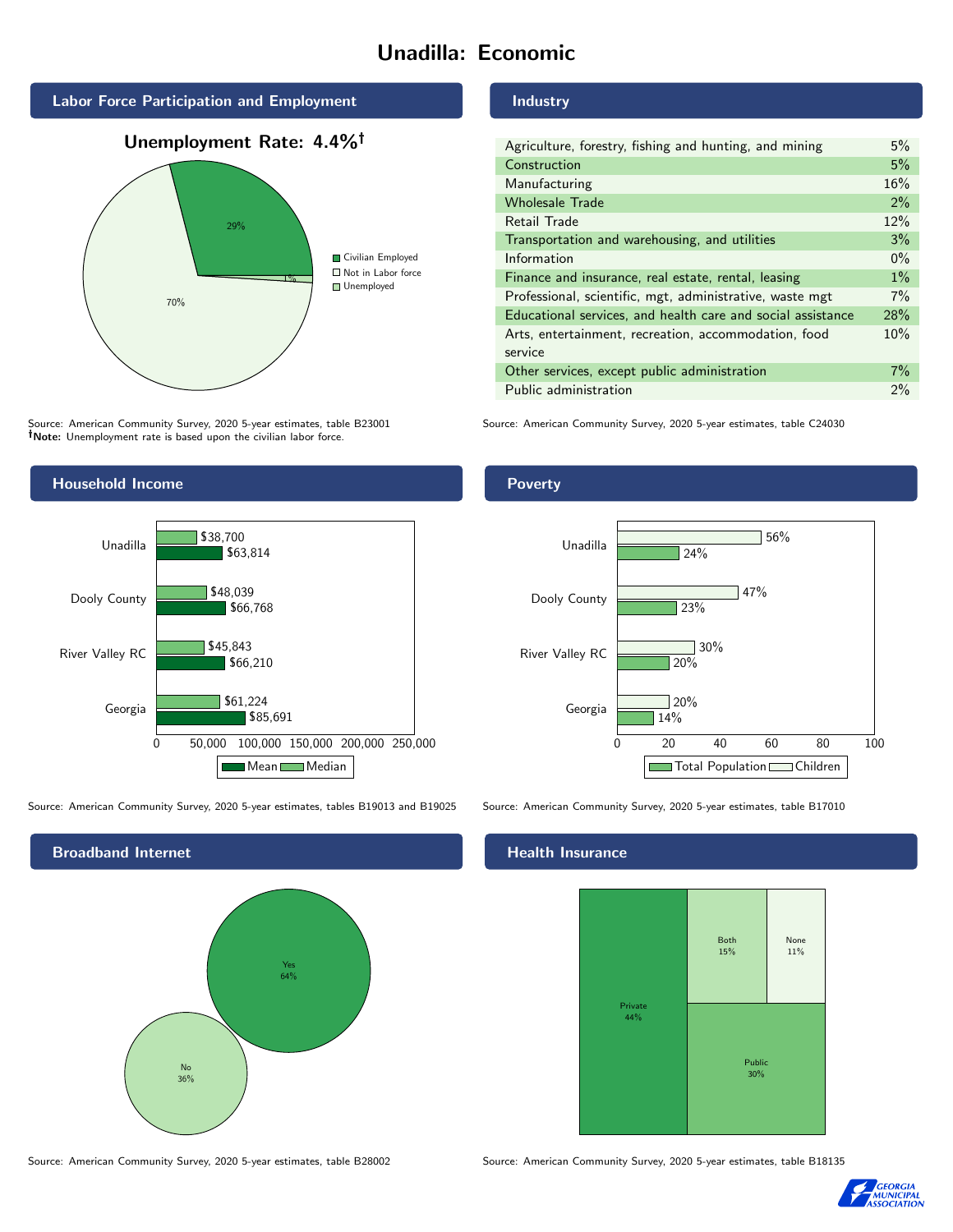# Unadilla: Economic







Source: American Community Survey, 2020 5-year estimates, table B23001 Note: Unemployment rate is based upon the civilian labor force.

## Industry

| Agriculture, forestry, fishing and hunting, and mining      | 5%    |
|-------------------------------------------------------------|-------|
| Construction                                                | 5%    |
| Manufacturing                                               | 16%   |
| <b>Wholesale Trade</b>                                      | 2%    |
| Retail Trade                                                | 12%   |
| Transportation and warehousing, and utilities               | 3%    |
| Information                                                 | $0\%$ |
| Finance and insurance, real estate, rental, leasing         | $1\%$ |
| Professional, scientific, mgt, administrative, waste mgt    | 7%    |
| Educational services, and health care and social assistance | 28%   |
| Arts, entertainment, recreation, accommodation, food        | 10%   |
| service                                                     |       |
| Other services, except public administration                | $7\%$ |
| Public administration                                       | $2\%$ |

Source: American Community Survey, 2020 5-year estimates, table C24030



Source: American Community Survey, 2020 5-year estimates, tables B19013 and B19025 Source: American Community Survey, 2020 5-year estimates, table B17010



Poverty



# **Health Insurance**



Source: American Community Survey, 2020 5-year estimates, table B28002 Source: American Community Survey, 2020 5-year estimates, table B18135